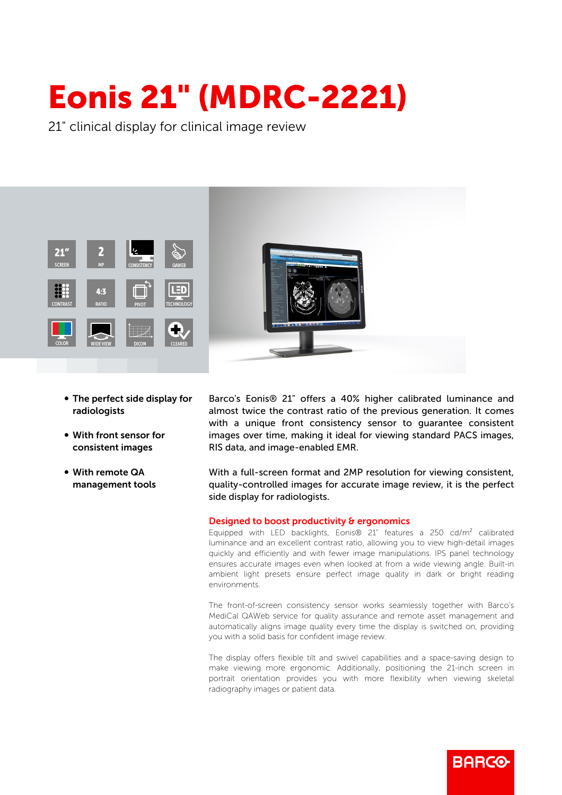## Eonis 21" (MDRC-2221)

21" clinical display for clinical image review



- The perfect side display for radiologists
- With front sensor for consistent images
- With remote QA management tools

Barco's Eonis® 21" offers a 40% higher calibrated luminance and almost twice the contrast ratio of the previous generation. It comes with a unique front consistency sensor to guarantee consistent images over time, making it ideal for viewing standard PACS images, RIS data, and image-enabled EMR.

With a full-screen format and 2MP resolution for viewing consistent, quality-controlled images for accurate image review, it is the perfect side display for radiologists.

## Designed to boost productivity & ergonomics

Equipped with LED backlights, Eonis® 21" features a 250 cd/m² calibrated luminance and an excellent contrast ratio, allowing you to view high-detail images quickly and efficiently and with fewer image manipulations. IPS panel technology ensures accurate images even when looked at from a wide viewing angle. Built-in ambient light presets ensure perfect image quality in dark or bright reading environments.

The front-of-screen consistency sensor works seamlessly together with Barco's MediCal QAWeb service for quality assurance and remote asset management and automatically aligns image quality every time the display is switched on, providing you with a solid basis for confident image review.

The display offers flexible tilt and swivel capabilities and a space-saving design to make viewing more ergonomic. Additionally, positioning the 21-inch screen in portrait orientation provides you with more flexibility when viewing skeletal radiography images or patient data.

**BARGO**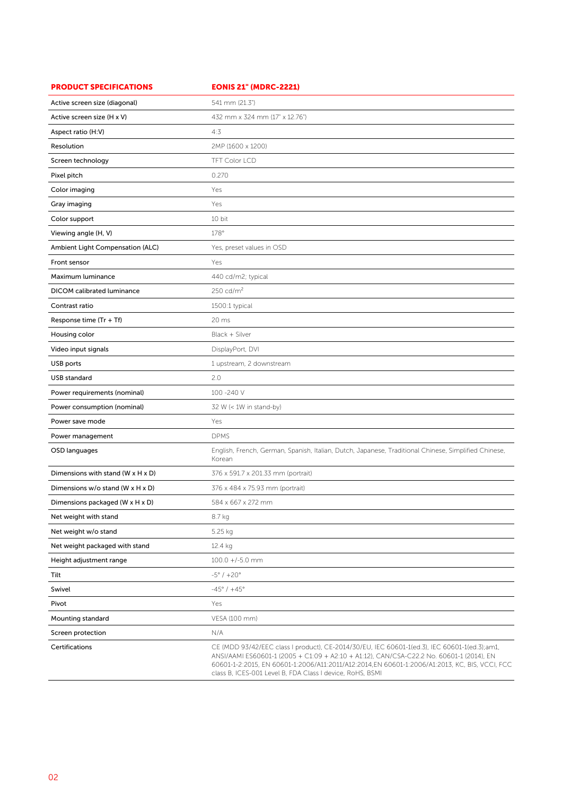| <b>PRODUCT SPECIFICATIONS</b>                   | <b>EONIS 21" (MDRC-2221)</b>                                                                                                                                                                                                                                                                                                                           |
|-------------------------------------------------|--------------------------------------------------------------------------------------------------------------------------------------------------------------------------------------------------------------------------------------------------------------------------------------------------------------------------------------------------------|
| Active screen size (diagonal)                   | 541 mm (21.3")                                                                                                                                                                                                                                                                                                                                         |
| Active screen size (H x V)                      | 432 mm x 324 mm (17" x 12.76")                                                                                                                                                                                                                                                                                                                         |
| Aspect ratio (H:V)                              | 4:3                                                                                                                                                                                                                                                                                                                                                    |
| Resolution                                      | 2MP (1600 x 1200)                                                                                                                                                                                                                                                                                                                                      |
| Screen technology                               | <b>TFT Color LCD</b>                                                                                                                                                                                                                                                                                                                                   |
| Pixel pitch                                     | 0.270                                                                                                                                                                                                                                                                                                                                                  |
| Color imaging                                   | Yes                                                                                                                                                                                                                                                                                                                                                    |
| Gray imaging                                    | Yes                                                                                                                                                                                                                                                                                                                                                    |
| Color support                                   | 10 bit                                                                                                                                                                                                                                                                                                                                                 |
| Viewing angle (H, V)                            | 178°                                                                                                                                                                                                                                                                                                                                                   |
| Ambient Light Compensation (ALC)                | Yes, preset values in OSD                                                                                                                                                                                                                                                                                                                              |
| Front sensor                                    | Yes                                                                                                                                                                                                                                                                                                                                                    |
| Maximum luminance                               | 440 cd/m2; typical                                                                                                                                                                                                                                                                                                                                     |
| <b>DICOM</b> calibrated luminance               | 250 cd/ $m2$                                                                                                                                                                                                                                                                                                                                           |
| Contrast ratio                                  | 1500:1 typical                                                                                                                                                                                                                                                                                                                                         |
| Response time (Tr + Tf)                         | 20 ms                                                                                                                                                                                                                                                                                                                                                  |
| Housing color                                   | Black + Silver                                                                                                                                                                                                                                                                                                                                         |
| Video input signals                             | DisplayPort, DVI                                                                                                                                                                                                                                                                                                                                       |
| USB ports                                       | 1 upstream, 2 downstream                                                                                                                                                                                                                                                                                                                               |
| <b>USB</b> standard                             | 2.0                                                                                                                                                                                                                                                                                                                                                    |
| Power requirements (nominal)                    | 100 -240 V                                                                                                                                                                                                                                                                                                                                             |
| Power consumption (nominal)                     | 32 W (< 1W in stand-by)                                                                                                                                                                                                                                                                                                                                |
| Power save mode                                 | Yes                                                                                                                                                                                                                                                                                                                                                    |
| Power management                                | <b>DPMS</b>                                                                                                                                                                                                                                                                                                                                            |
| OSD languages                                   | English, French, German, Spanish, Italian, Dutch, Japanese, Traditional Chinese, Simplified Chinese,<br>Korean                                                                                                                                                                                                                                         |
| Dimensions with stand (W $\times$ H $\times$ D) | 376 x 591.7 x 201.33 mm (portrait)                                                                                                                                                                                                                                                                                                                     |
| Dimensions $w/o$ stand (W x H x D)              | 376 x 484 x 75.93 mm (portrait)                                                                                                                                                                                                                                                                                                                        |
| Dimensions packaged (W x H x D)                 | 584 x 667 x 272 mm                                                                                                                                                                                                                                                                                                                                     |
| Net weight with stand                           | 8.7 kg                                                                                                                                                                                                                                                                                                                                                 |
| Net weight w/o stand                            | 5.25 kg                                                                                                                                                                                                                                                                                                                                                |
| Net weight packaged with stand                  | 12.4 kg                                                                                                                                                                                                                                                                                                                                                |
| Height adjustment range                         | $100.0 +/-5.0$ mm                                                                                                                                                                                                                                                                                                                                      |
| Tilt                                            | $-5^{\circ}$ / $+20^{\circ}$                                                                                                                                                                                                                                                                                                                           |
| Swivel                                          | $-45^{\circ}$ / $+45^{\circ}$                                                                                                                                                                                                                                                                                                                          |
| Pivot                                           | Yes                                                                                                                                                                                                                                                                                                                                                    |
| Mounting standard                               | VESA (100 mm)                                                                                                                                                                                                                                                                                                                                          |
| Screen protection                               | N/A                                                                                                                                                                                                                                                                                                                                                    |
| Certifications                                  | CE (MDD 93/42/EEC class I product), CE-2014/30/EU, IEC 60601-1(ed.3), IEC 60601-1(ed.3);am1,<br>ANSI/AAMI ES60601-1 (2005 + C1:09 + A2:10 + A1:12), CAN/CSA-C22.2 No. 60601-1 (2014), EN<br>60601-1-2:2015, EN 60601-1:2006/A11:2011/A12:2014,EN 60601-1:2006/A1:2013, KC, BIS, VCCI, FCC<br>class B, ICES-001 Level B, FDA Class I device, RoHS, BSMI |